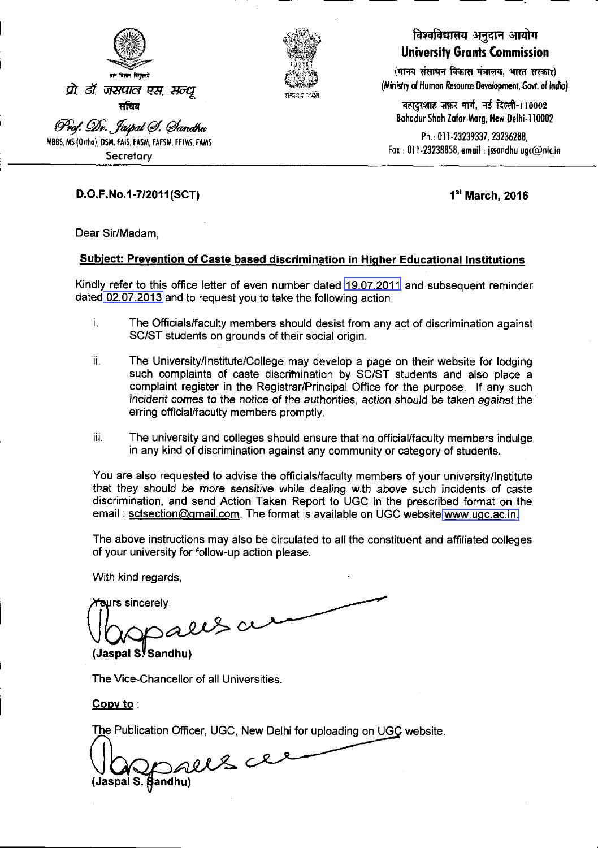



### विश्वविद्यालय अनुदान आयोग **University Grants Commission**

(मानव संसाधन विकास मंत्रालय, भारत सरकार) (Ministry of Human Resource Development, Govt. of India)

बहादुरशाह ज़फ़र मार्ग, नई दिल्ली-110002 Bahadur Shah Zafor Marg, New Delhi-110002

Ph.: 011-23239337, 23236288, Fax: 011-23238858, email: jssandhu.ugc@nic.in

#### D.O.F.No.1-7/2011(SCT)

1<sup>st</sup> March, 2016

Dear Sir/Madam,

#### **Subject: Prevention of Caste based discrimination in Higher Educational Institutions**

Kindly refer to this office letter of even number dated 19.07.2011 and subsequent reminder dated 02.07.2013 and to request you to take the following action:

- i. The Officials/faculty members should desist from any act of discrimination against SC/ST students on grounds of their social origin.
- ii. The University/Institute/College may develop a page on their website for lodging such complaints of caste discrimination by SC/ST students and also place a complaint register in the Registrar/Principal Office for the purpose. If any such incident comes to the notice of the authorities, action should be taken against the erring official/faculty members promptly.
- iii. The university and colleges should ensure that no official/faculty members indulge in any kind of discrimination against any community or category of students.

You are also requested to advise the officials/faculty members of your university/Institute that they should be more sensitive while dealing with above such incidents of caste discrimination, and send Action Taken Report to UGC in the prescribed format on the email: sctsection@gmail.com. The format is available on UGC website www.ugc.ac.in.

The above instructions may also be circulated to all the constituent and affiliated colleges of your university for follow-up action please.

With kind regards.

ours sincerely.  $220$ 

(Jaspal S. Sandhu)

The Vice-Chancellor of all Universities.

Copy to .

The Publication Officer, UGC, New Delhi for uploading on UGC website.

iaspails. fandhu)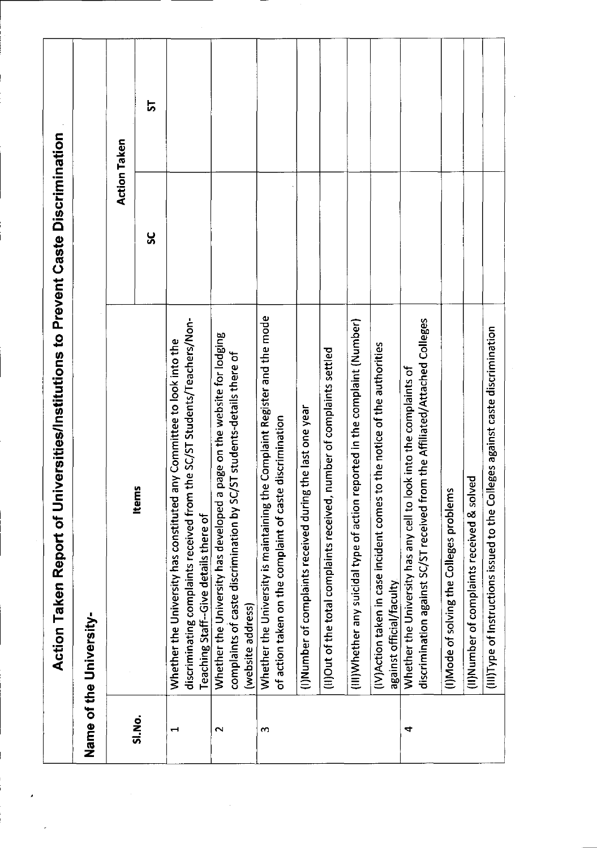<span id="page-1-0"></span>

|        | Name of the University-                                                                                                                                                                       |     |              |
|--------|-----------------------------------------------------------------------------------------------------------------------------------------------------------------------------------------------|-----|--------------|
|        |                                                                                                                                                                                               |     | Action Taken |
| SI.No. | Items                                                                                                                                                                                         | ပ္တ | 능            |
| ᆗ      | discriminating complaints received from the SC/ST Students/Teachers/Non-<br>any Committee to look into the<br>Whether the University has constituted<br>Teaching Staff--Give details there of |     |              |
| $\sim$ | Whether the University has developed a page on the website for lodging<br>complaints of caste discrimination by SC/ST students-details there of<br>(website address)                          |     |              |
| S      | Whether the University is maintaining the Complaint Register and the mode<br>e discrimination<br>of action taken on the complaint of cast                                                     |     |              |
|        | (I)Number of complaints received during the last one year                                                                                                                                     |     |              |
|        | number of complaints settled<br>(II)Out of the total complaints received,                                                                                                                     |     |              |
|        | reported in the complaint (Number)<br>(III) Whether any suicidal type of action                                                                                                               |     |              |
|        | to the notice of the authorities<br>(IV)Action taken in case incident comes<br>against official/faculty                                                                                       |     |              |
| 4      | discrimination against SC/ST received from the Affiliated/Attached Colleges<br>ook into the complaints of<br>Whether the University has any cell to I                                         |     |              |
|        | (I)Mode of solving the Colleges problems                                                                                                                                                      |     |              |
|        | (II)Number of complaints received & solved                                                                                                                                                    |     |              |
|        | (III)Type of Instructions issued to the Colleges against caste discrimination                                                                                                                 |     |              |

 $\label{eq:2.1} \mathcal{L}(\mathcal{L}^{\text{max}}_{\text{max}}(\mathcal{L}^{\text{max}}_{\text{max}}(\mathcal{L}^{\text{max}}_{\text{max}}(\mathcal{L}^{\text{max}}_{\text{max}}(\mathcal{L}^{\text{max}}_{\text{max}}(\mathcal{L}^{\text{max}}_{\text{max}}(\mathcal{L}^{\text{max}}_{\text{max}}(\mathcal{L}^{\text{max}}_{\text{max}}(\mathcal{L}^{\text{max}}_{\text{max}}(\mathcal{L}^{\text{max}}_{\text{max}}(\mathcal{L}^{\text{max}}_{\text{max}}(\mathcal{L}^$ 

 $\epsilon$ 

 $\label{eq:2.1} \frac{1}{\sqrt{2}}\int_{0}^{\infty}\frac{1}{\sqrt{2\pi}}\left(\frac{1}{\sqrt{2\pi}}\right)^{2}d\mu\left(\frac{1}{\sqrt{2\pi}}\right) \frac{d\mu}{\sqrt{2\pi}}\,.$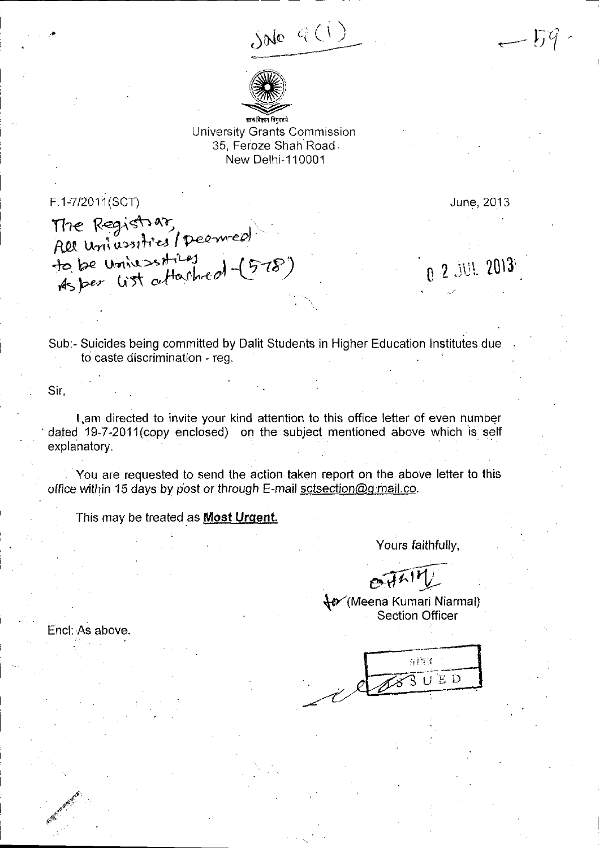$SNe(G) = -59$ .



University Grants Commission 35, Feroze Shah Road. New Delhi-1 10001

<span id="page-2-0"></span>F.1-7/2011(SCT)

June, 2013

The Registrar, All universities/ Deemed to be universities (578) As per list attant

 $0^{\frac{1}{2}}$  2013'

Sub:- Suicides being committed by Dalit Students in Higher Education Instituies due to caste discrimination - reg.

Sir,

Encl: As above.

,n"d

l,am directed to invite your kind attention to this office letter of even number dated 19-7-2011 (copy enclosed) on the subject mentioned above which is self explanatory.

You are requested to send the action taken report on the above letter to this office within 15 days by post or through E-mail sctsection@q:mail.co.

This may be treated as **Most Urgent**.

Yours faithfully,

 $e^{i\pi r}$ 

{or'lVteena Kumari Niarmal) Section Officer

 $6151$  $\overline{3}0ED$